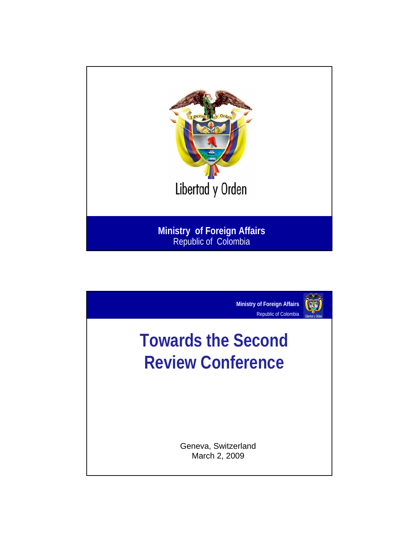

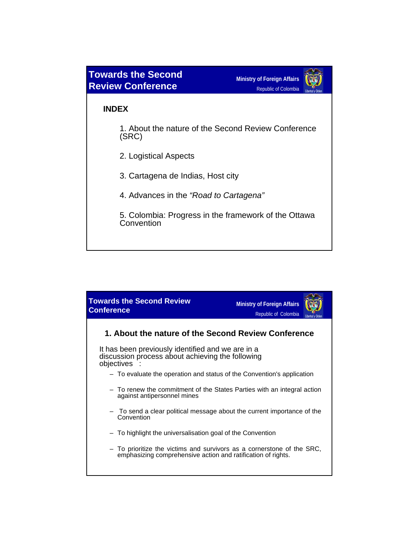

## **INDEX**

1. About the nature of the Second Review Conference (SRC)

- 2. Logistical Aspects
- 3. Cartagena de Indias, Host city
- 4. Advances in the *"Road to Cartagena"*

5. Colombia: Progress in the framework of the Ottawa **Convention** 

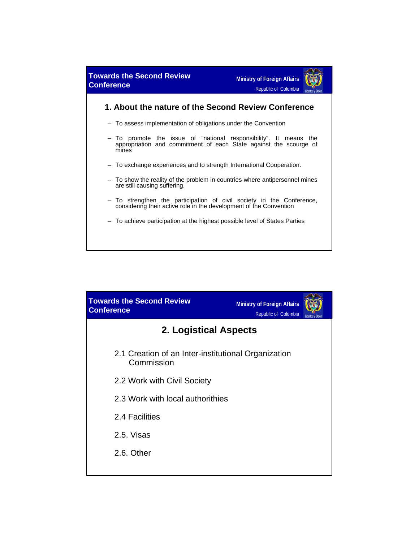

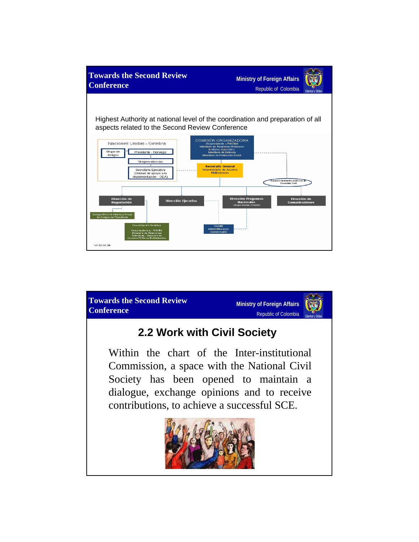

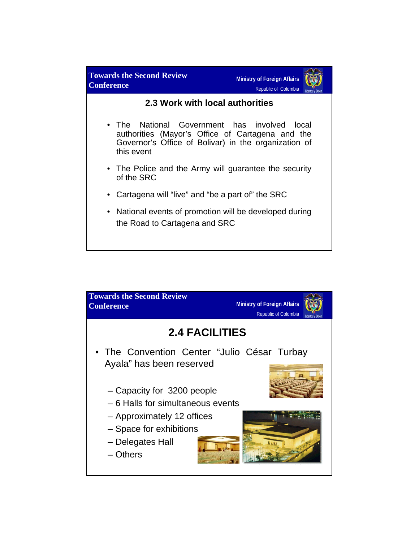

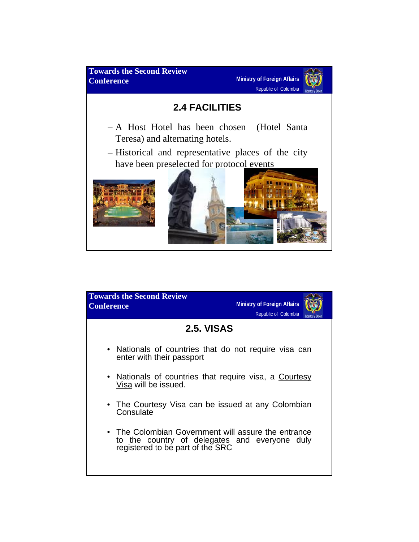

| <b>Towards the Second Review</b><br><b>Conference</b>                                                                                    | <b>Ministry of Foreign Affairs</b><br>Republic of Colombia |
|------------------------------------------------------------------------------------------------------------------------------------------|------------------------------------------------------------|
| <b>2.5. VISAS</b>                                                                                                                        |                                                            |
| • Nationals of countries that do not require visa can<br>enter with their passport                                                       |                                                            |
| • Nationals of countries that require visa, a Courtesy<br>Visa will be issued.                                                           |                                                            |
| • The Courtesy Visa can be issued at any Colombian<br>Consulate                                                                          |                                                            |
| • The Colombian Government will assure the entrance<br>to the country of delegates and everyone duly<br>registered to be part of the SRC |                                                            |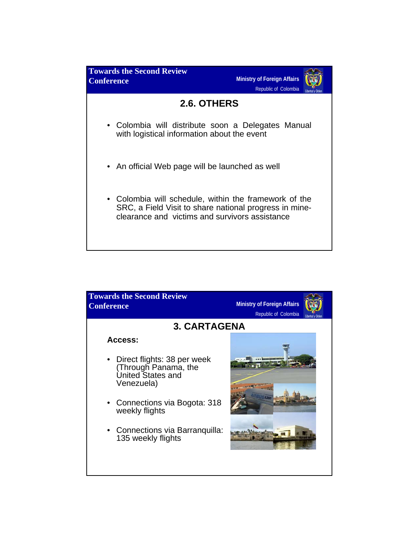

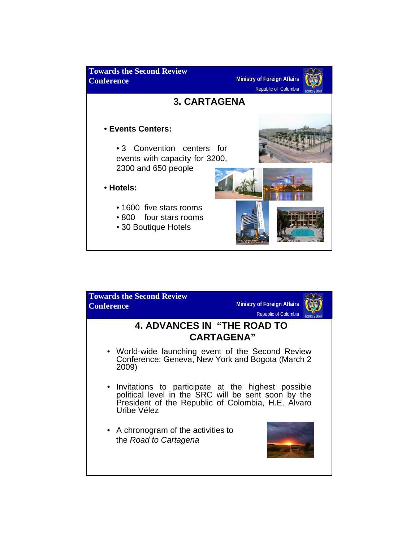

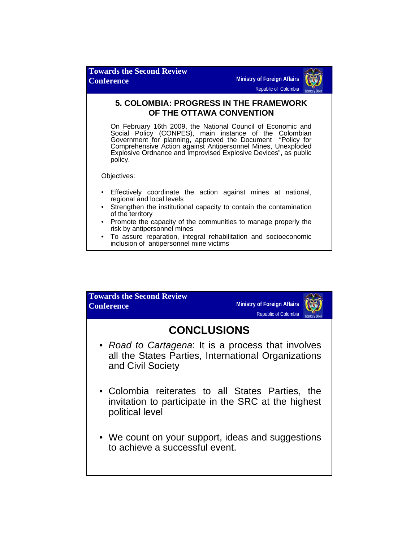

## **5. COLOMBIA: PROGRESS IN THE FRAMEWORK OF THE OTTAWA CONVENTION**

On February 16th 2009, the National Council of Economic and Social Policy (CONPES), main instance of the Colombian Government for planning, approved the Document "Policy for Comprehensive Action against Antipersonnel Mines, Unexploded Explosive Ordnance and Improvised Explosive Devices", as public policy.

Objectives:

- Effectively coordinate the action against mines at national, regional and local levels
- Strengthen the institutional capacity to contain the contamination of the territory
- Promote the capacity of the communities to manage properly the risk by antipersonnel mines
- To assure reparation, integral rehabilitation and socioeconomic inclusion of antipersonnel mine victims